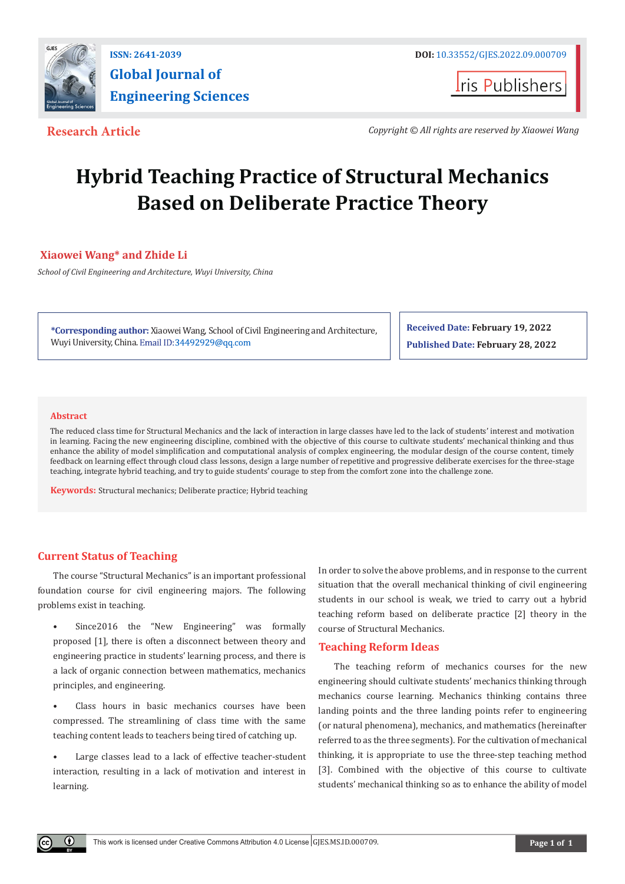

**I**ris Publishers

**Research Article** *Copyright © All rights are reserved by Xiaowei Wang*

# **Hybrid Teaching Practice of Structural Mechanics Based on Deliberate Practice Theory**

# **Xiaowei Wang\* and Zhide Li**

*School of Civil Engineering and Architecture, Wuyi University, China* 

**\*Corresponding author:** Xiaow[ei Wang, School of Ci](http://34492929@qq.com)vil Engineering and Architecture, Wuyi University, China. Email ID:34492929@qq.com

**Received Date: February 19, 2022 Published Date: February 28, 2022**

#### **Abstract**

 $\left( \mathbf{r} \right)$ 

The reduced class time for Structural Mechanics and the lack of interaction in large classes have led to the lack of students' interest and motivation in learning. Facing the new engineering discipline, combined with the objective of this course to cultivate students' mechanical thinking and thus enhance the ability of model simplification and computational analysis of complex engineering, the modular design of the course content, timely feedback on learning effect through cloud class lessons, design a large number of repetitive and progressive deliberate exercises for the three-stage teaching, integrate hybrid teaching, and try to guide students' courage to step from the comfort zone into the challenge zone.

**Keywords:** Structural mechanics; Deliberate practice; Hybrid teaching

# **Current Status of Teaching**

The course "Structural Mechanics" is an important professional foundation course for civil engineering majors. The following problems exist in teaching.

- Since2016 the "New Engineering" was formally proposed [1], there is often a disconnect between theory and engineering practice in students' learning process, and there is a lack of organic connection between mathematics, mechanics principles, and engineering.
- Class hours in basic mechanics courses have been compressed. The streamlining of class time with the same teaching content leads to teachers being tired of catching up.
- Large classes lead to a lack of effective teacher-student interaction, resulting in a lack of motivation and interest in learning.

In order to solve the above problems, and in response to the current situation that the overall mechanical thinking of civil engineering students in our school is weak, we tried to carry out a hybrid teaching reform based on deliberate practice [2] theory in the course of Structural Mechanics.

#### **Teaching Reform Ideas**

The teaching reform of mechanics courses for the new engineering should cultivate students' mechanics thinking through mechanics course learning. Mechanics thinking contains three landing points and the three landing points refer to engineering (or natural phenomena), mechanics, and mathematics (hereinafter referred to as the three segments). For the cultivation of mechanical thinking, it is appropriate to use the three-step teaching method [3]. Combined with the objective of this course to cultivate students' mechanical thinking so as to enhance the ability of model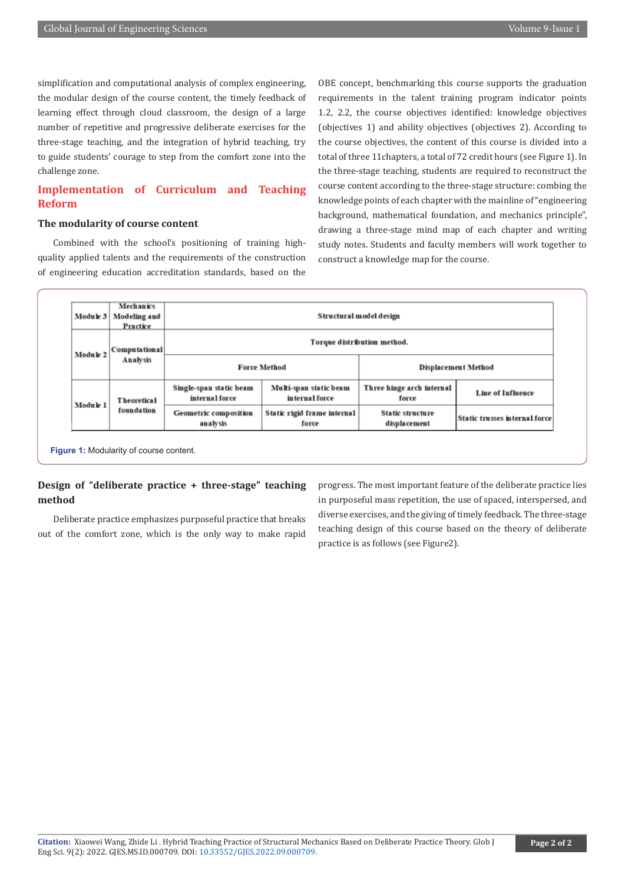simplification and computational analysis of complex engineering, the modular design of the course content, the timely feedback of learning effect through cloud classroom, the design of a large number of repetitive and progressive deliberate exercises for the three-stage teaching, and the integration of hybrid teaching, try to guide students' courage to step from the comfort zone into the challenge zone.

# **Implementation of Curriculum and Teaching Reform**

### **The modularity of course content**

Combined with the school's positioning of training highquality applied talents and the requirements of the construction of engineering education accreditation standards, based on the

OBE concept, benchmarking this course supports the graduation requirements in the talent training program indicator points 1.2, 2.2, the course objectives identified: knowledge objectives (objectives 1) and ability objectives (objectives 2). According to the course objectives, the content of this course is divided into a total of three 11chapters, a total of 72 credit hours (see Figure 1). In the three-stage teaching, students are required to reconstruct the course content according to the three-stage structure: combing the knowledge points of each chapter with the mainline of "engineering background, mathematical foundation, and mechanics principle", drawing a three-stage mind map of each chapter and writing study notes. Students and faculty members will work together to construct a knowledge map for the course.

| Module 3 | <b>Mechanics</b><br>Modeling and<br>Practice | Structural model design                   |                                          |                                         |                                      |
|----------|----------------------------------------------|-------------------------------------------|------------------------------------------|-----------------------------------------|--------------------------------------|
| Module 2 | <b>Computational</b><br><b>Analysis</b>      | Torque distribution method.               |                                          |                                         |                                      |
|          |                                              | <b>Force Method</b>                       |                                          | <b>Displacement Method</b>              |                                      |
| Module 1 | <b>Theoretical</b><br><b>foundation</b>      | Single-span static beam<br>internal force | Multi-span static beam<br>internal force | Three hinge arch internal<br>force      | <b>Line of Influence</b>             |
|          |                                              | <b>Geometric composition</b><br>analysis  | Static rigid frame internal<br>force     | <b>Static structure</b><br>displacement | <b>Static trusses internal force</b> |

# **Design of "deliberate practice + three-stage" teaching method**

Deliberate practice emphasizes purposeful practice that breaks out of the comfort zone, which is the only way to make rapid progress. The most important feature of the deliberate practice lies in purposeful mass repetition, the use of spaced, interspersed, and diverse exercises, and the giving of timely feedback. The three-stage teaching design of this course based on the theory of deliberate practice is as follows (see Figure2).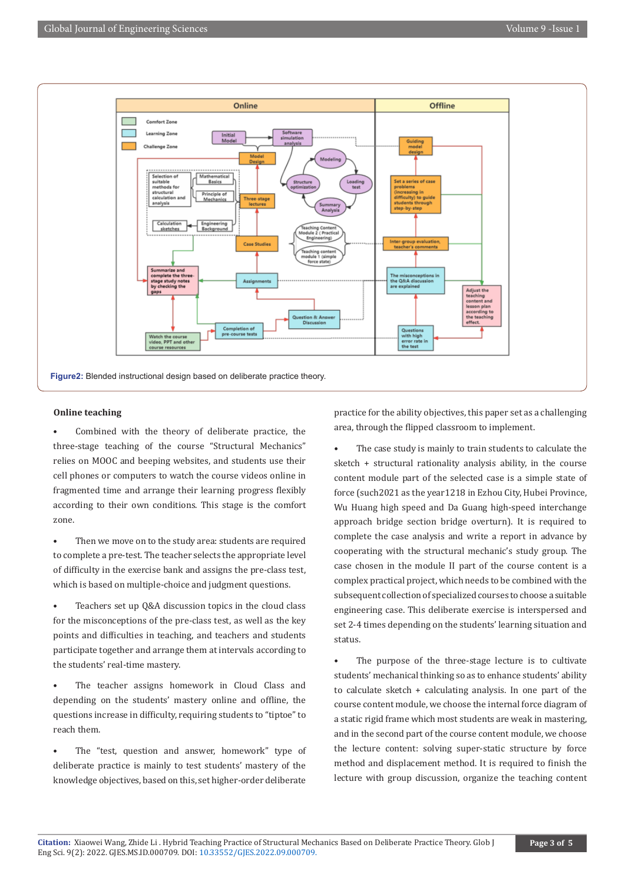

#### **Online teaching**

Combined with the theory of deliberate practice, the three-stage teaching of the course "Structural Mechanics" relies on MOOC and beeping websites, and students use their cell phones or computers to watch the course videos online in fragmented time and arrange their learning progress flexibly according to their own conditions. This stage is the comfort zone.

Then we move on to the study area: students are required to complete a pre-test. The teacher selects the appropriate level of difficulty in the exercise bank and assigns the pre-class test, which is based on multiple-choice and judgment questions.

Teachers set up Q&A discussion topics in the cloud class for the misconceptions of the pre-class test, as well as the key points and difficulties in teaching, and teachers and students participate together and arrange them at intervals according to the students' real-time mastery.

The teacher assigns homework in Cloud Class and depending on the students' mastery online and offline, the questions increase in difficulty, requiring students to "tiptoe" to reach them.

The "test, question and answer, homework" type of deliberate practice is mainly to test students' mastery of the knowledge objectives, based on this, set higher-order deliberate

practice for the ability objectives, this paper set as a challenging area, through the flipped classroom to implement.

The case study is mainly to train students to calculate the sketch + structural rationality analysis ability, in the course content module part of the selected case is a simple state of force (such2021 as the year1218 in Ezhou City, Hubei Province, Wu Huang high speed and Da Guang high-speed interchange approach bridge section bridge overturn). It is required to complete the case analysis and write a report in advance by cooperating with the structural mechanic's study group. The case chosen in the module II part of the course content is a complex practical project, which needs to be combined with the subsequent collection of specialized courses to choose a suitable engineering case. This deliberate exercise is interspersed and set 2-4 times depending on the students' learning situation and status.

The purpose of the three-stage lecture is to cultivate students' mechanical thinking so as to enhance students' ability to calculate sketch + calculating analysis. In one part of the course content module, we choose the internal force diagram of a static rigid frame which most students are weak in mastering, and in the second part of the course content module, we choose the lecture content: solving super-static structure by force method and displacement method. It is required to finish the lecture with group discussion, organize the teaching content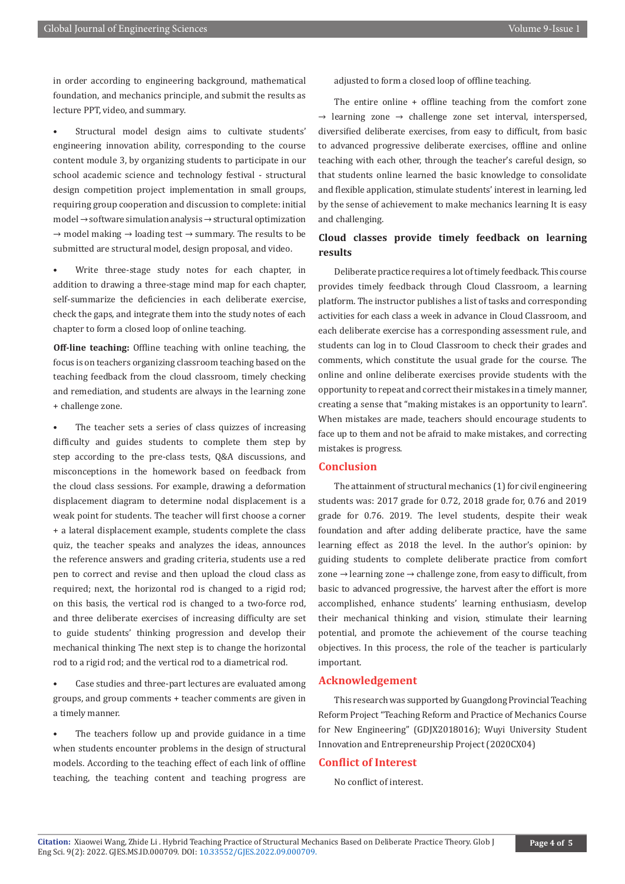in order according to engineering background, mathematical foundation, and mechanics principle, and submit the results as lecture PPT, video, and summary.

Structural model design aims to cultivate students' engineering innovation ability, corresponding to the course content module 3, by organizing students to participate in our school academic science and technology festival - structural design competition project implementation in small groups, requiring group cooperation and discussion to complete: initial model → software simulation analysis → structural optimization → model making → loading test → summary. The results to be submitted are structural model, design proposal, and video.

Write three-stage study notes for each chapter, in addition to drawing a three-stage mind map for each chapter, self-summarize the deficiencies in each deliberate exercise, check the gaps, and integrate them into the study notes of each chapter to form a closed loop of online teaching.

**Off-line teaching:** Offline teaching with online teaching, the focus is on teachers organizing classroom teaching based on the teaching feedback from the cloud classroom, timely checking and remediation, and students are always in the learning zone + challenge zone.

The teacher sets a series of class quizzes of increasing difficulty and guides students to complete them step by step according to the pre-class tests, Q&A discussions, and misconceptions in the homework based on feedback from the cloud class sessions. For example, drawing a deformation displacement diagram to determine nodal displacement is a weak point for students. The teacher will first choose a corner + a lateral displacement example, students complete the class quiz, the teacher speaks and analyzes the ideas, announces the reference answers and grading criteria, students use a red pen to correct and revise and then upload the cloud class as required; next, the horizontal rod is changed to a rigid rod; on this basis, the vertical rod is changed to a two-force rod, and three deliberate exercises of increasing difficulty are set to guide students' thinking progression and develop their mechanical thinking The next step is to change the horizontal rod to a rigid rod; and the vertical rod to a diametrical rod.

• Case studies and three-part lectures are evaluated among groups, and group comments + teacher comments are given in a timely manner.

The teachers follow up and provide guidance in a time when students encounter problems in the design of structural models. According to the teaching effect of each link of offline teaching, the teaching content and teaching progress are adjusted to form a closed loop of offline teaching.

The entire online + offline teaching from the comfort zone  $\rightarrow$  learning zone  $\rightarrow$  challenge zone set interval, interspersed, diversified deliberate exercises, from easy to difficult, from basic to advanced progressive deliberate exercises, offline and online teaching with each other, through the teacher's careful design, so that students online learned the basic knowledge to consolidate and flexible application, stimulate students' interest in learning, led by the sense of achievement to make mechanics learning It is easy and challenging.

### **Cloud classes provide timely feedback on learning results**

Deliberate practice requires a lot of timely feedback. This course provides timely feedback through Cloud Classroom, a learning platform. The instructor publishes a list of tasks and corresponding activities for each class a week in advance in Cloud Classroom, and each deliberate exercise has a corresponding assessment rule, and students can log in to Cloud Classroom to check their grades and comments, which constitute the usual grade for the course. The online and online deliberate exercises provide students with the opportunity to repeat and correct their mistakes in a timely manner, creating a sense that "making mistakes is an opportunity to learn". When mistakes are made, teachers should encourage students to face up to them and not be afraid to make mistakes, and correcting mistakes is progress.

#### **Conclusion**

The attainment of structural mechanics (1) for civil engineering students was: 2017 grade for 0.72, 2018 grade for, 0.76 and 2019 grade for 0.76. 2019. The level students, despite their weak foundation and after adding deliberate practice, have the same learning effect as 2018 the level. In the author's opinion: by guiding students to complete deliberate practice from comfort zone  $\rightarrow$  learning zone  $\rightarrow$  challenge zone, from easy to difficult, from basic to advanced progressive, the harvest after the effort is more accomplished, enhance students' learning enthusiasm, develop their mechanical thinking and vision, stimulate their learning potential, and promote the achievement of the course teaching objectives. In this process, the role of the teacher is particularly important.

#### **Acknowledgement**

This research was supported by Guangdong Provincial Teaching Reform Project "Teaching Reform and Practice of Mechanics Course for New Engineering" (GDJX2018016); Wuyi University Student Innovation and Entrepreneurship Project (2020CX04)

#### **Conflict of Interest**

No conflict of interest.